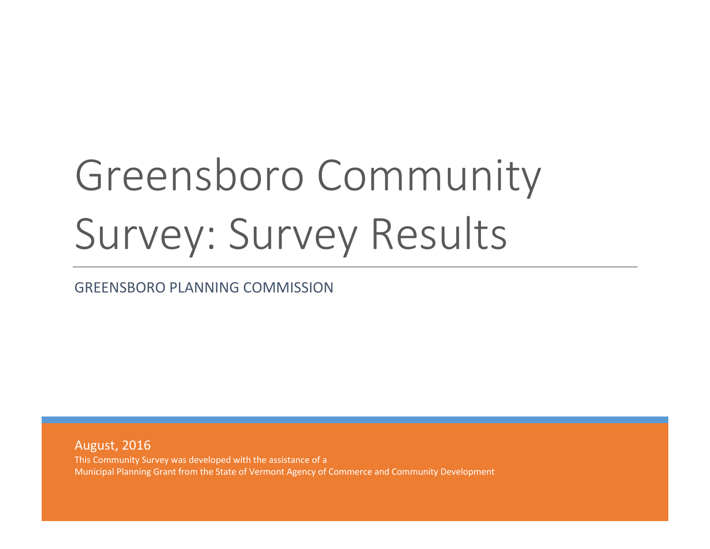# Greensboro Community Survey: Survey Results

GREENSBORO PLANNING COMMISSION

August, 2016 This Community Survey was developed with the assistance of a Municipal Planning Grant from the State of Vermont Agency of Commerce and Community Development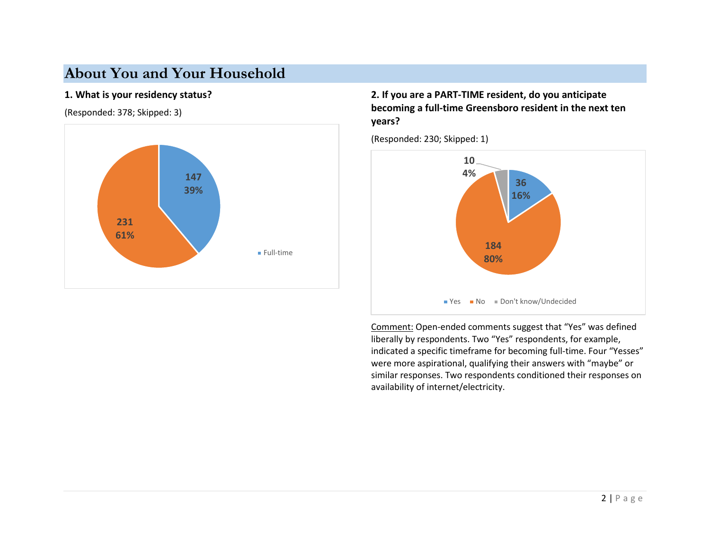# **About You and Your Household**

#### **1. What is your residency status?**

(Responded: 378; Skipped: 3)



## **2. If you are a PART-TIME resident, do you anticipate becoming a full-time Greensboro resident in the next ten years?**

(Responded: 230; Skipped: 1)



Comment: Open-ended comments suggest that "Yes" was defined liberally by respondents. Two "Yes" respondents, for example, indicated a specific timeframe for becoming full-time. Four "Yesses" were more aspirational, qualifying their answers with "maybe" or similar responses. Two respondents conditioned their responses on availability of internet/electricity.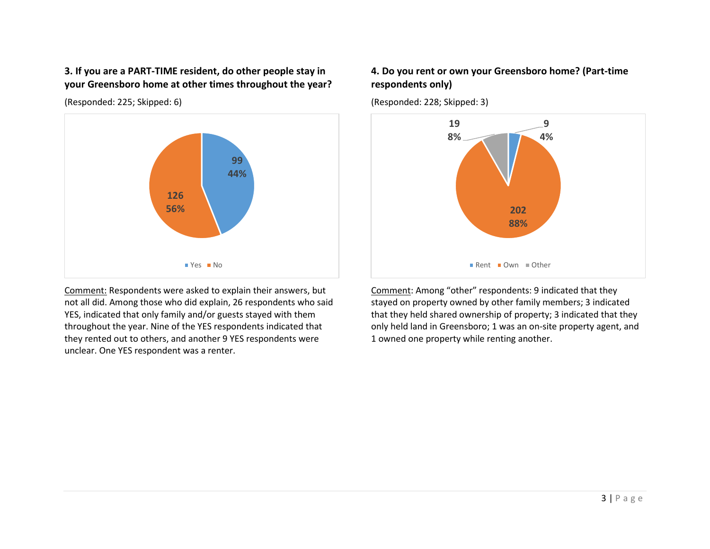**3. If you are a PART-TIME resident, do other people stay in your Greensboro home at other times throughout the year?**

(Responded: 225; Skipped: 6)



Comment: Respondents were asked to explain their answers, but not all did. Among those who did explain, 26 respondents who said YES, indicated that only family and/or guests stayed with them throughout the year. Nine of the YES respondents indicated that they rented out to others, and another 9 YES respondents were unclear. One YES respondent was a renter.

#### **4. Do you rent or own your Greensboro home? (Part-time respondents only)**

(Responded: 228; Skipped: 3)



Comment: Among "other" respondents: 9 indicated that they stayed on property owned by other family members; 3 indicated that they held shared ownership of property; 3 indicated that they only held land in Greensboro; 1 was an on-site property agent, and 1 owned one property while renting another.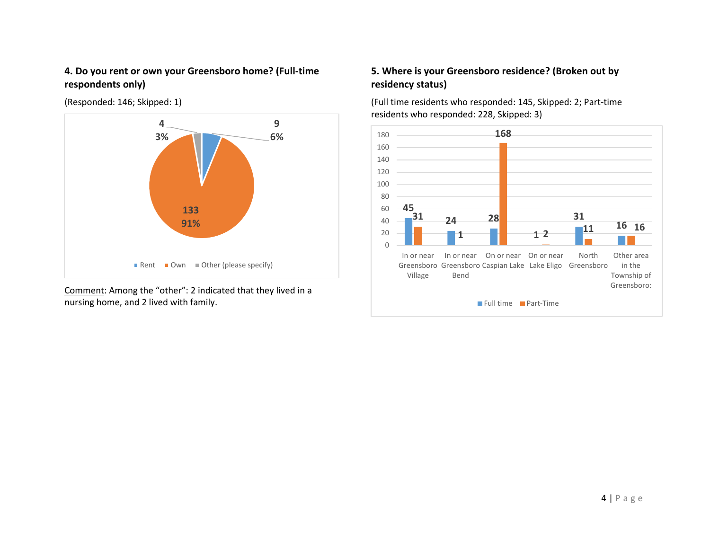#### **4. Do you rent or own your Greensboro home? (Full-time respondents only)**

(Responded: 146; Skipped: 1)



Comment: Among the "other": 2 indicated that they lived in a nursing home, and 2 lived with family.

## **5. Where is your Greensboro residence? (Broken out by residency status)**

(Full time residents who responded: 145, Skipped: 2; Part-time residents who responded: 228, Skipped: 3)

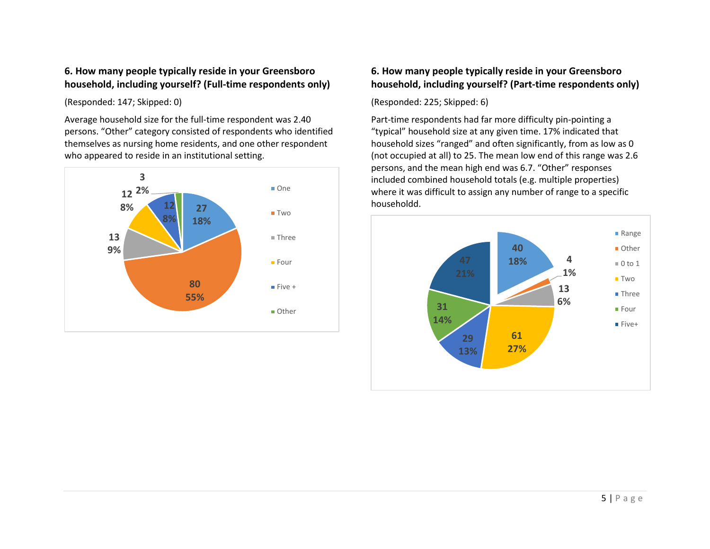#### **6. How many people typically reside in your Greensboro household, including yourself? (Full-time respondents only)**

(Responded: 147; Skipped: 0)

Average household size for the full-time respondent was 2.40 persons. "Other" category consisted of respondents who identified themselves as nursing home residents, and one other respondent who appeared to reside in an institutional setting.



## **6. How many people typically reside in your Greensboro household, including yourself? (Part-time respondents only)**

(Responded: 225; Skipped: 6)

Part-time respondents had far more difficulty pin-pointing a "typical" household size at any given time. 17% indicated that household sizes "ranged" and often significantly, from as low as 0 (not occupied at all) to 25. The mean low end of this range was 2.6 persons, and the mean high end was 6.7. "Other" responses included combined household totals (e.g. multiple properties) where it was difficult to assign any number of range to a specific

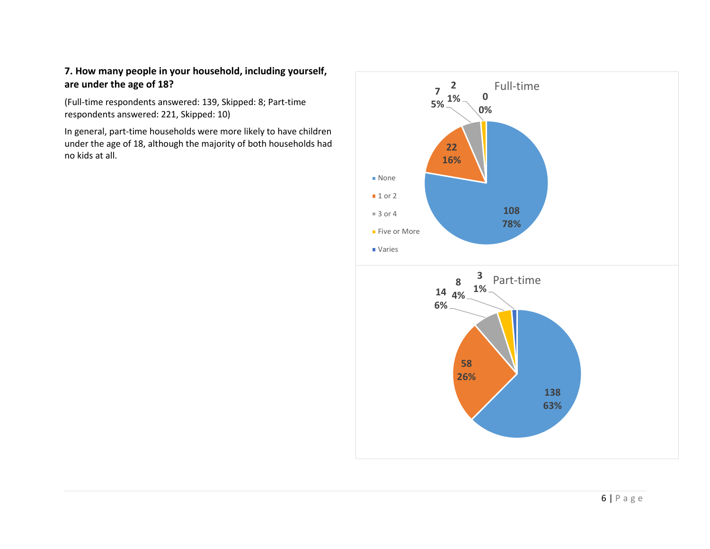## **7. How many people in your household, including yourself, are under the age of 18?**

(Full-time respondents answered: 139, Skipped: 8; Part-time respondents answered: 221, Skipped: 10)

In general, part-time households were more likely to have children under the age of 18, although the majority of both households had no kids at all.

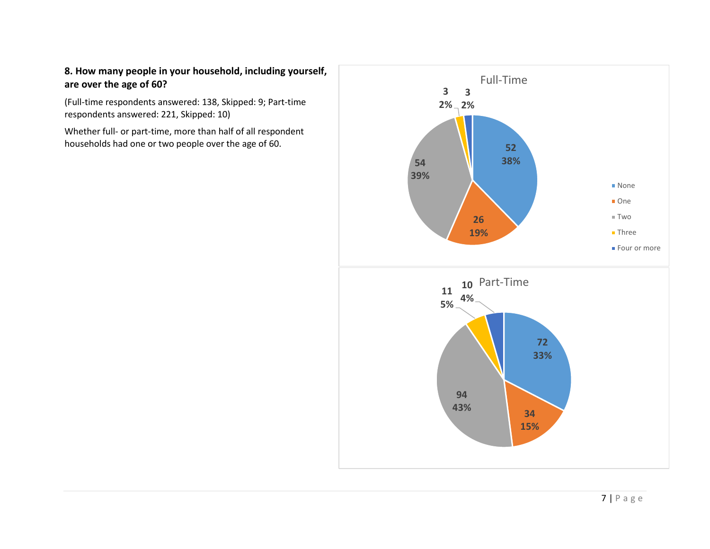## **8. How many people in your household, including yourself, are over the age of 60?**

(Full-time respondents answered: 138, Skipped: 9; Part-time respondents answered: 221, Skipped: 10)

Whether full- or part-time, more than half of all respondent households had one or two people over the age of 60. **52**

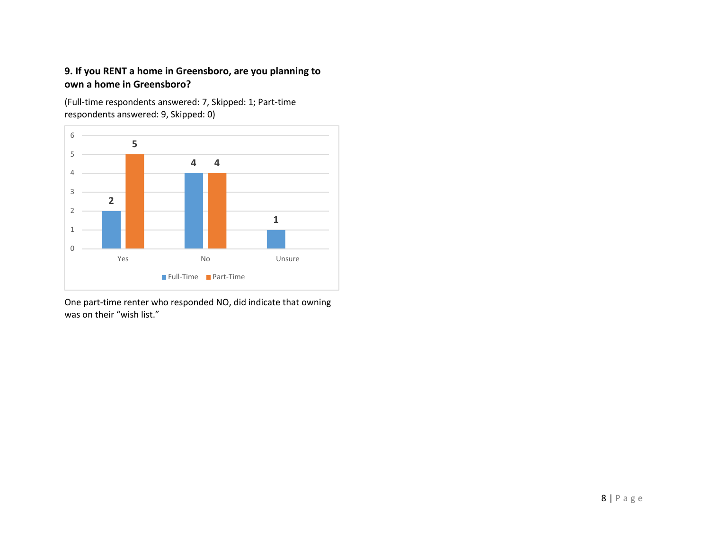## **9. If you RENT a home in Greensboro, are you planning to own a home in Greensboro?**

(Full-time respondents answered: 7, Skipped: 1; Part-time respondents answered: 9, Skipped: 0)



One part-time renter who responded NO, did indicate that owning was on their "wish list."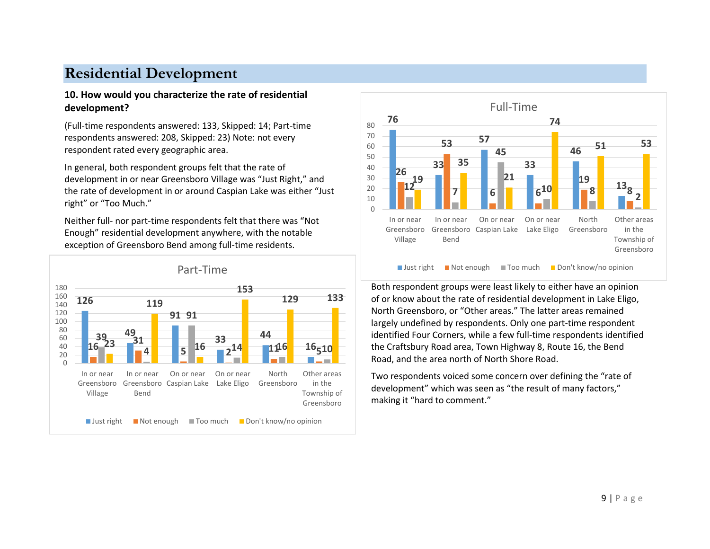# **Residential Development**

#### **10. How would you characterize the rate of residential development?**

(Full-time respondents answered: 133, Skipped: 14; Part-time respondents answered: 208, Skipped: 23) Note: not every respondent rated every geographic area.

In general, both respondent groups felt that the rate of development in or near Greensboro Village was "Just Right," and the rate of development in or around Caspian Lake was either "Just right" or "Too Much."

Neither full- nor part-time respondents felt that there was "Not Enough" residential development anywhere, with the notable exception of Greensboro Bend among full-time residents.





Both respondent groups were least likely to either have an opinion of or know about the rate of residential development in Lake Eligo, North Greensboro, or "Other areas." The latter areas remained largely undefined by respondents. Only one part-time respondent identified Four Corners, while a few full-time respondents identified the Craftsbury Road area, Town Highway 8, Route 16, the Bend Road, and the area north of North Shore Road.

Two respondents voiced some concern over defining the "rate of development" which was seen as "the result of many factors," making it "hard to comment."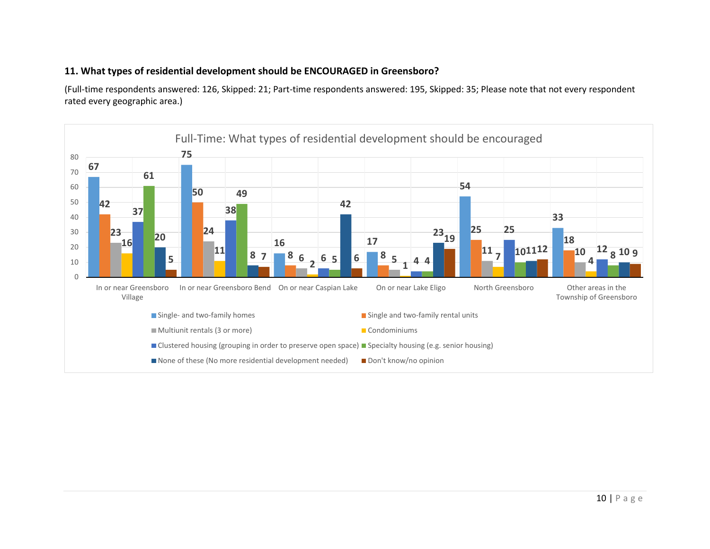#### **11. What types of residential development should be ENCOURAGED in Greensboro?**

(Full-time respondents answered: 126, Skipped: 21; Part-time respondents answered: 195, Skipped: 35; Please note that not every respondent rated every geographic area.)

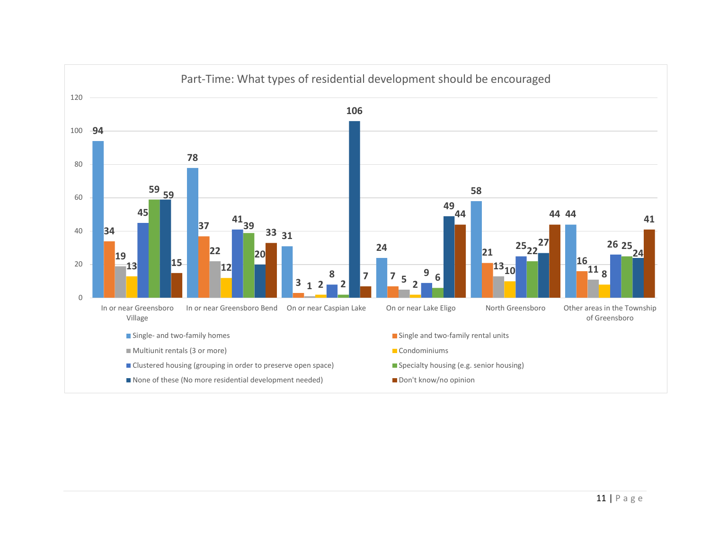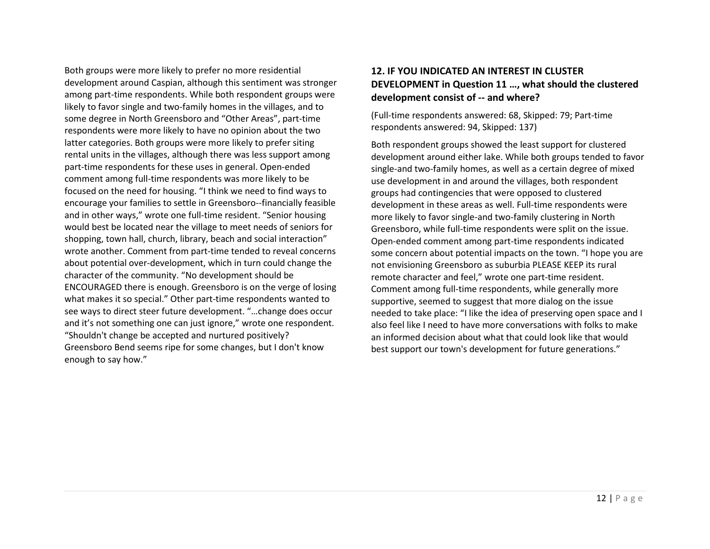Both groups were more likely to prefer no more residential development around Caspian, although this sentiment was stronger among part-time respondents. While both respondent groups were likely to favor single and two-family homes in the villages, and to some degree in North Greensboro and "Other Areas", part-time respondents were more likely to have no opinion about the two latter categories. Both groups were more likely to prefer siting rental units in the villages, although there was less support among part-time respondents for these uses in general. Open-ended comment among full-time respondents was more likely to be focused on the need for housing. "I think we need to find ways to encourage your families to settle in Greensboro--financially feasible and in other ways," wrote one full-time resident. "Senior housing would best be located near the village to meet needs of seniors for shopping, town hall, church, library, beach and social interaction" wrote another. Comment from part-time tended to reveal concerns about potential over-development, which in turn could change the character of the community. "No development should be ENCOURAGED there is enough. Greensboro is on the verge of losing what makes it so special." Other part-time respondents wanted to see ways to direct steer future development. "…change does occur and it's not something one can just ignore," wrote one respondent. "Shouldn't change be accepted and nurtured positively? Greensboro Bend seems ripe for some changes, but I don't know enough to say how."

#### **12. IF YOU INDICATED AN INTEREST IN CLUSTER DEVELOPMENT in Question 11 …, what should the clustered development consist of -- and where?**

(Full-time respondents answered: 68, Skipped: 79; Part-time respondents answered: 94, Skipped: 137)

Both respondent groups showed the least support for clustered development around either lake. While both groups tended to favor single-and two-family homes, as well as a certain degree of mixed use development in and around the villages, both respondent groups had contingencies that were opposed to clustered development in these areas as well. Full-time respondents were more likely to favor single-and two-family clustering in North Greensboro, while full-time respondents were split on the issue. Open-ended comment among part-time respondents indicated some concern about potential impacts on the town. "I hope you are not envisioning Greensboro as suburbia PLEASE KEEP its rural remote character and feel," wrote one part-time resident. Comment among full-time respondents, while generally more supportive, seemed to suggest that more dialog on the issue needed to take place: "I like the idea of preserving open space and I also feel like I need to have more conversations with folks to make an informed decision about what that could look like that would best support our town's development for future generations."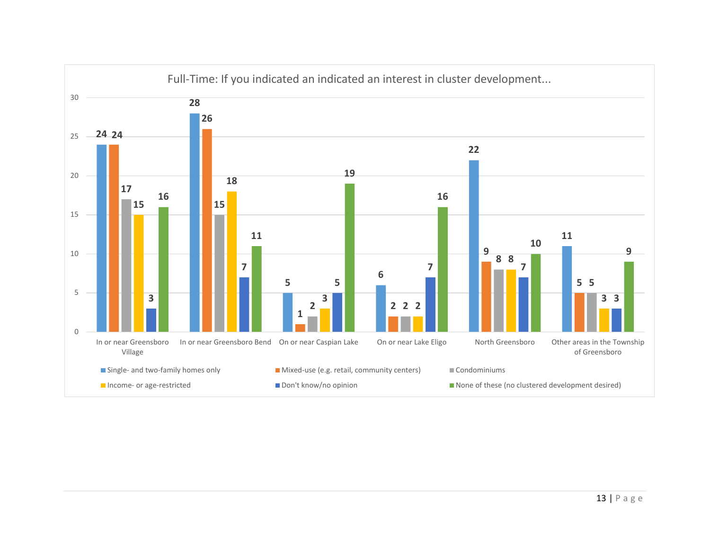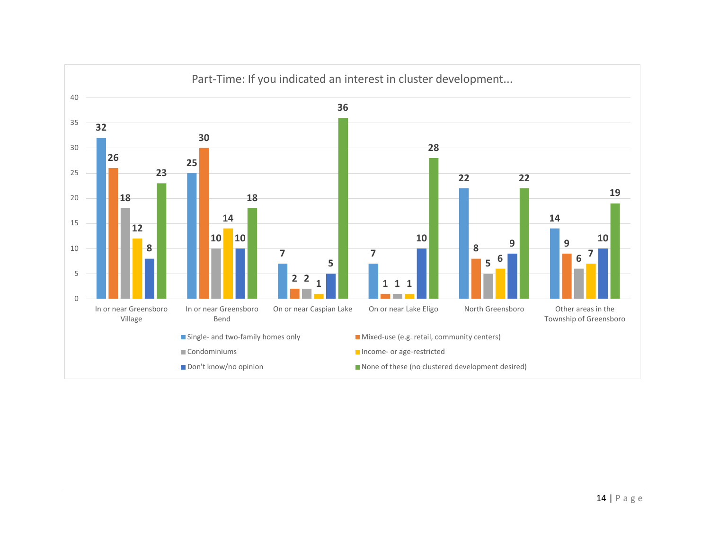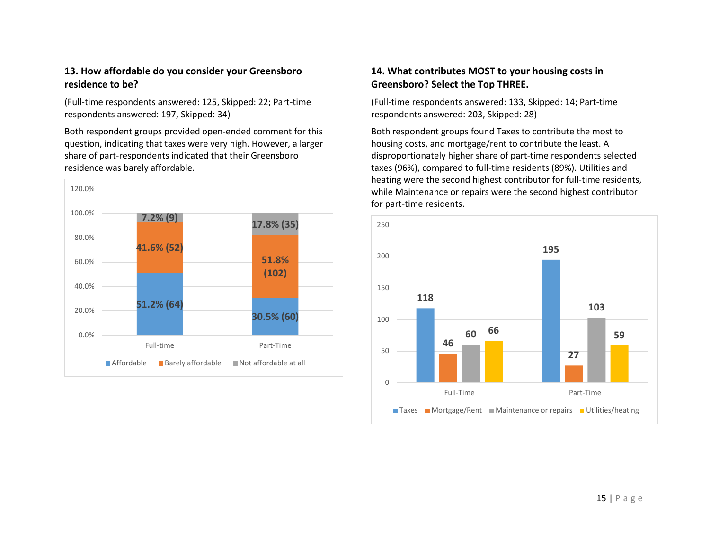#### **13. How affordable do you consider your Greensboro residence to be?**

(Full-time respondents answered: 125, Skipped: 22; Part-time respondents answered: 197, Skipped: 34)

Both respondent groups provided open-ended comment for this question, indicating that taxes were very high. However, a larger share of part-respondents indicated that their Greensboro residence was barely affordable.



#### **14. What contributes MOST to your housing costs in Greensboro? Select the Top THREE.**

(Full-time respondents answered: 133, Skipped: 14; Part-time respondents answered: 203, Skipped: 28)

Both respondent groups found Taxes to contribute the most to housing costs, and mortgage/rent to contribute the least. A disproportionately higher share of part-time respondents selected taxes (96%), compared to full-time residents (89%). Utilities and heating were the second highest contributor for full-time residents, while Maintenance or repairs were the second highest contributor for part-time residents.

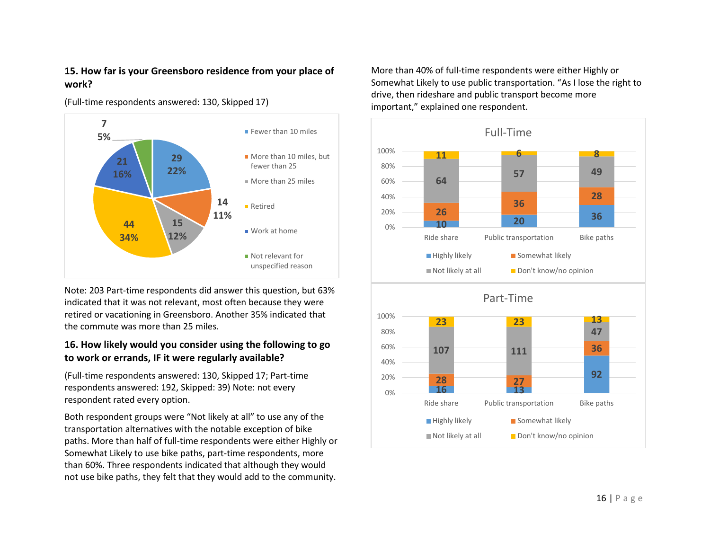#### **15. How far is your Greensboro residence from your place of work?**





Note: 203 Part-time respondents did answer this question, but 63% indicated that it was not relevant, most often because they were retired or vacationing in Greensboro. Another 35% indicated that the commute was more than 25 miles.

#### **16. How likely would you consider using the following to go to work or errands, IF it were regularly available?**

(Full-time respondents answered: 130, Skipped 17; Part-time respondents answered: 192, Skipped: 39) Note: not every respondent rated every option.

Both respondent groups were "Not likely at all" to use any of the transportation alternatives with the notable exception of bike paths. More than half of full-time respondents were either Highly or Somewhat Likely to use bike paths, part-time respondents, more than 60%. Three respondents indicated that although they would not use bike paths, they felt that they would add to the community.

More than 40% of full-time respondents were either Highly or Somewhat Likely to use public transportation. "As I lose the right to drive, then rideshare and public transport become more important," explained one respondent.

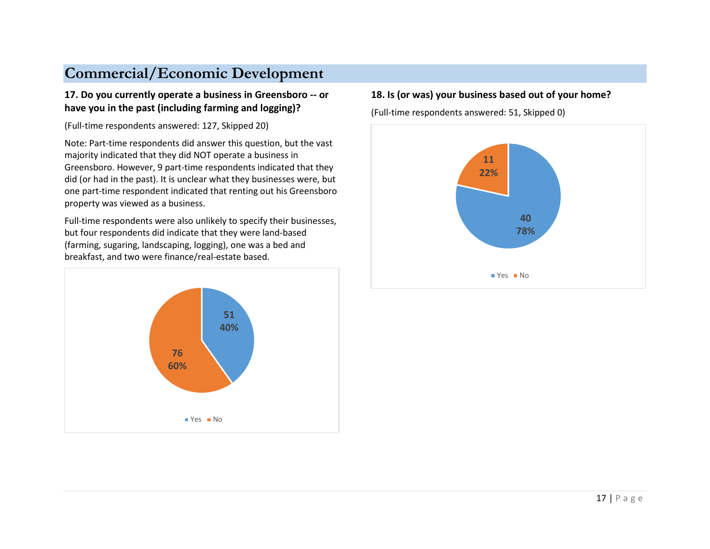# **Commercial/Economic Development**

#### **17. Do you currently operate a business in Greensboro -- or have you in the past (including farming and logging)?**

(Full-time respondents answered: 127, Skipped 20)

Note: Part-time respondents did answer this question, but the vast majority indicated that they did NOT operate a business in Greensboro. However, 9 part-time respondents indicated that they did (or had in the past). It is unclear what they businesses were, but one part-time respondent indicated that renting out his Greensboro property was viewed as a business.

Full-time respondents were also unlikely to specify their businesses, but four respondents did indicate that they were land-based (farming, sugaring, landscaping, logging), one was a bed and breakfast, and two were finance/real-estate based.



#### **18. Is (or was) your business based out of your home?**

(Full-time respondents answered: 51, Skipped 0)

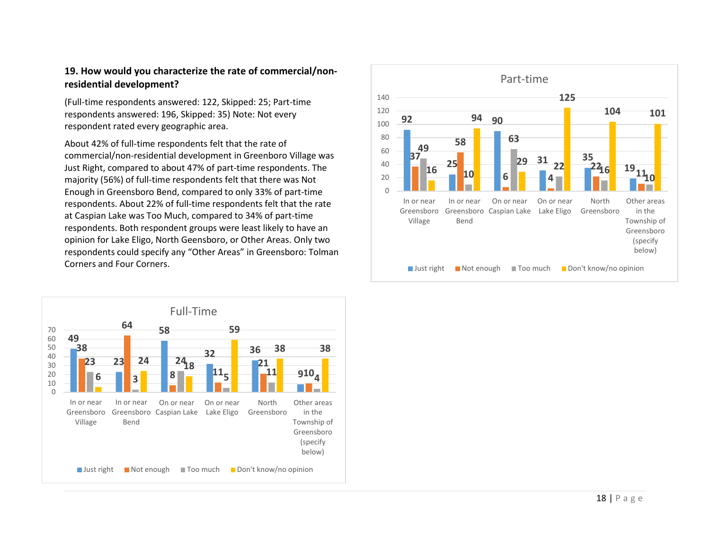#### **19. How would you characterize the rate of commercial/nonresidential development?**

(Full-time respondents answered: 122, Skipped: 25; Part-time respondents answered: 196, Skipped: 35) Note: Not every respondent rated every geographic area.

About 42% of full-time respondents felt that the rate of commercial/non-residential development in Greenboro Village was Just Right, compared to about 47% of part-time respondents. The majority (56%) of full-time respondents felt that there was Not Enough in Greensboro Bend, compared to only 33% of part-time respondents. About 22% of full-time respondents felt that the rate at Caspian Lake was Too Much, compared to 34% of part-time respondents. Both respondent groups were least likely to have an opinion for Lake Eligo, North Geensboro, or Other Areas. Only two



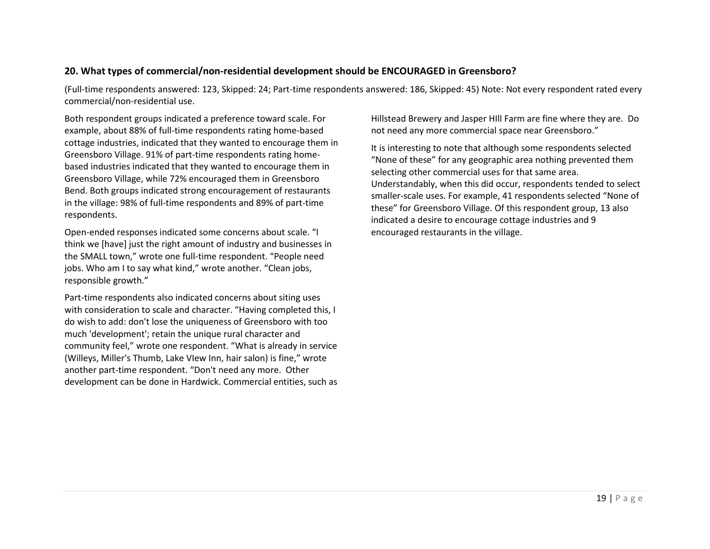#### **20. What types of commercial/non-residential development should be ENCOURAGED in Greensboro?**

(Full-time respondents answered: 123, Skipped: 24; Part-time respondents answered: 186, Skipped: 45) Note: Not every respondent rated every commercial/non-residential use.

Both respondent groups indicated a preference toward scale. For example, about 88% of full-time respondents rating home-based cottage industries, indicated that they wanted to encourage them in Greensboro Village. 91% of part-time respondents rating homebased industries indicated that they wanted to encourage them in Greensboro Village, while 72% encouraged them in Greensboro Bend. Both groups indicated strong encouragement of restaurants in the village: 98% of full-time respondents and 89% of part-time respondents.

Open-ended responses indicated some concerns about scale. "I think we [have] just the right amount of industry and businesses in the SMALL town," wrote one full-time respondent. "People need jobs. Who am I to say what kind," wrote another. "Clean jobs, responsible growth."

Part-time respondents also indicated concerns about siting uses with consideration to scale and character. "Having completed this, I do wish to add: don't lose the uniqueness of Greensboro with too much 'development'; retain the unique rural character and community feel," wrote one respondent. "What is already in service (Willeys, Miller's Thumb, Lake VIew Inn, hair salon) is fine," wrote another part-time respondent. "Don't need any more. Other development can be done in Hardwick. Commercial entities, such as Hillstead Brewery and Jasper HIll Farm are fine where they are. Do not need any more commercial space near Greensboro."

It is interesting to note that although some respondents selected "None of these" for any geographic area nothing prevented them selecting other commercial uses for that same area. Understandably, when this did occur, respondents tended to select smaller-scale uses. For example, 41 respondents selected "None of these" for Greensboro Village. Of this respondent group, 13 also indicated a desire to encourage cottage industries and 9 encouraged restaurants in the village.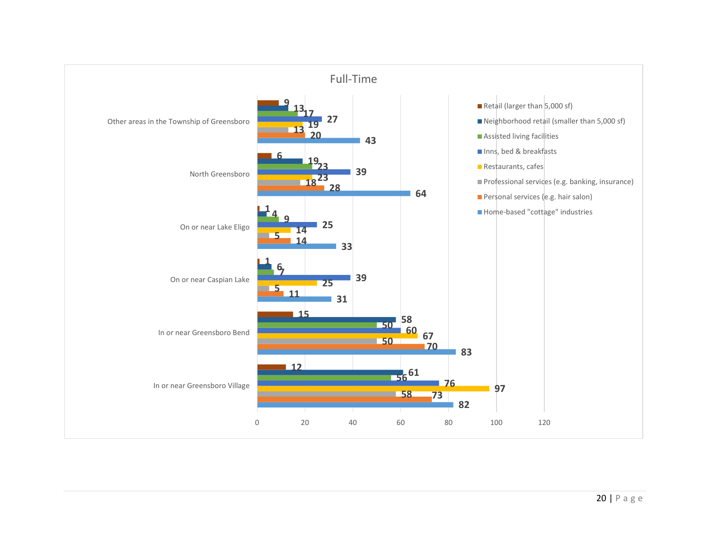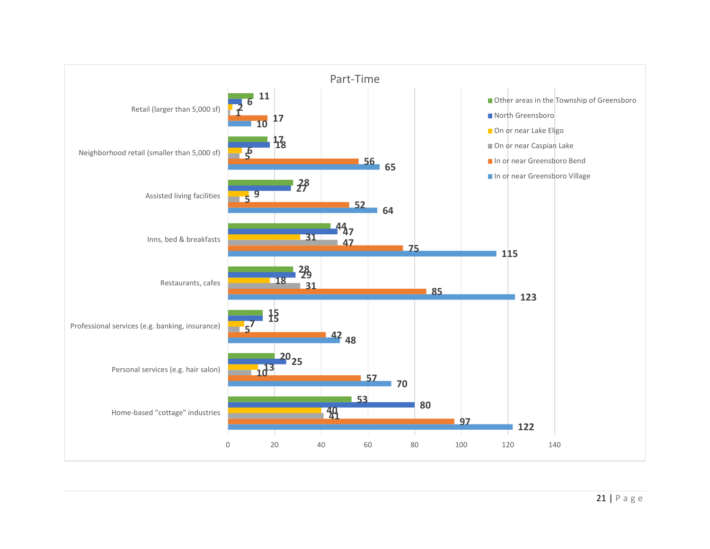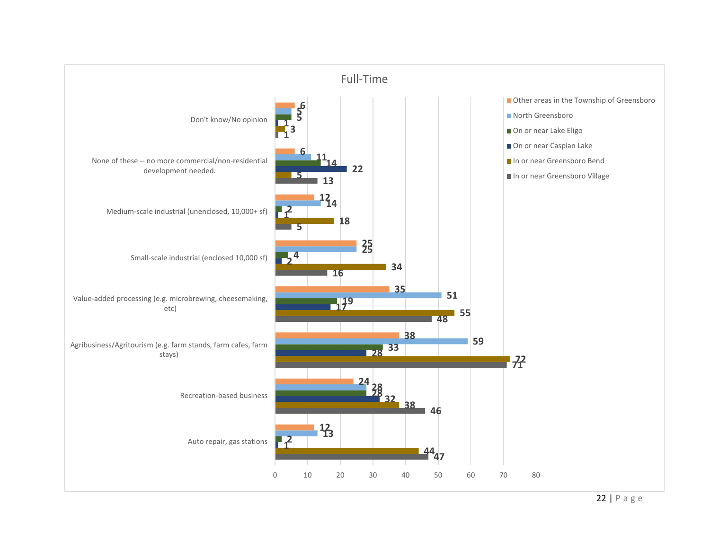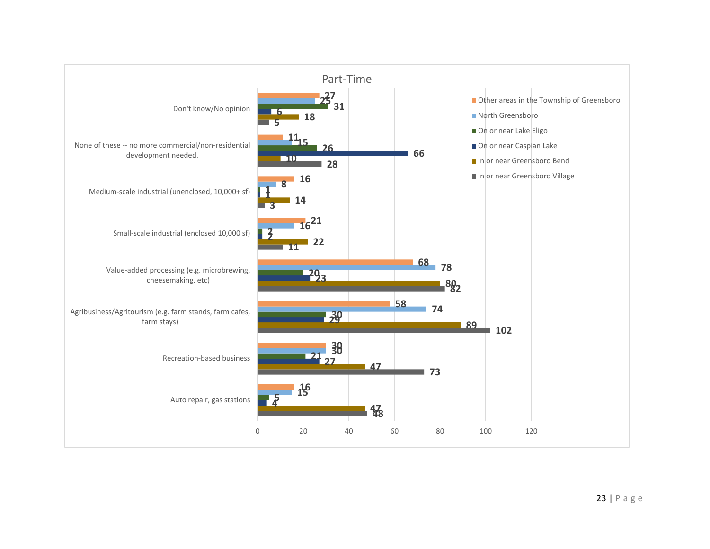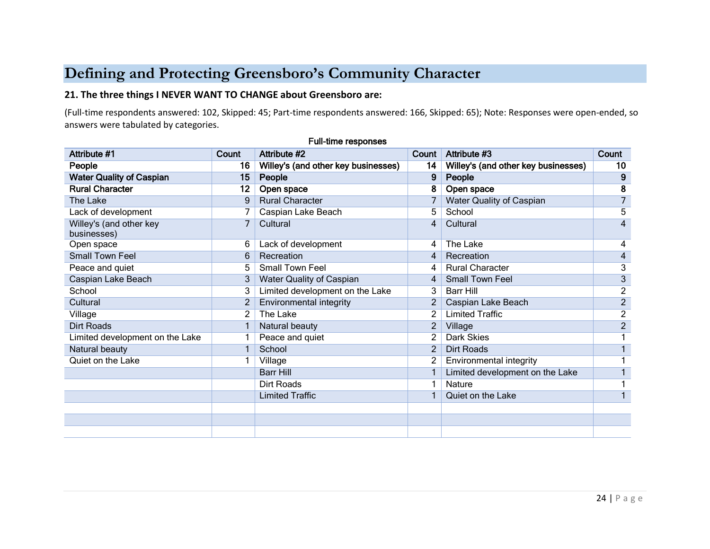# **Defining and Protecting Greensboro's Community Character**

#### **21. The three things I NEVER WANT TO CHANGE about Greensboro are:**

(Full-time respondents answered: 102, Skipped: 45; Part-time respondents answered: 166, Skipped: 65); Note: Responses were open-ended, so answers were tabulated by categories.

| <b>Attribute #1</b>                    | Count          | Attribute #2                        | Count          | Attribute #3                        | Count                   |
|----------------------------------------|----------------|-------------------------------------|----------------|-------------------------------------|-------------------------|
| People                                 | 16             | Willey's (and other key businesses) | 14             | Willey's (and other key businesses) | 10                      |
| <b>Water Quality of Caspian</b>        | 15             | People                              | 9              | People                              | 9                       |
| <b>Rural Character</b>                 | 12             | Open space                          | 8              | Open space                          | 8                       |
| The Lake                               | 9              | <b>Rural Character</b>              |                | <b>Water Quality of Caspian</b>     | 7                       |
| Lack of development                    |                | Caspian Lake Beach                  | 5              | School                              | 5                       |
| Willey's (and other key<br>businesses) | 7              | Cultural                            | 4              | Cultural                            | 4                       |
| Open space                             | 6              | Lack of development                 | 4              | The Lake                            | 4                       |
| <b>Small Town Feel</b>                 | 6              | Recreation                          | $\overline{4}$ | Recreation                          | $\overline{\mathbf{4}}$ |
| Peace and quiet                        | 5              | Small Town Feel                     | 4              | <b>Rural Character</b>              | 3                       |
| Caspian Lake Beach                     | 3              | Water Quality of Caspian            | 4              | <b>Small Town Feel</b>              | $\overline{3}$          |
| School                                 | 3              | Limited development on the Lake     | 3              | <b>Barr Hill</b>                    | $\overline{c}$          |
| Cultural                               | $\overline{2}$ | Environmental integrity             |                | Caspian Lake Beach                  | $\overline{2}$          |
| Village                                | 2              | The Lake                            | $\overline{2}$ | <b>Limited Traffic</b>              | $\overline{2}$          |
| Dirt Roads                             |                | Natural beauty                      | $\overline{c}$ | Village                             | $\overline{2}$          |
| Limited development on the Lake        |                | Peace and quiet                     | $\overline{2}$ | Dark Skies                          |                         |
| Natural beauty                         |                | School                              | $\overline{2}$ | Dirt Roads                          |                         |
| Quiet on the Lake                      |                | Village                             | 2              | Environmental integrity             |                         |
|                                        |                | <b>Barr Hill</b>                    |                | Limited development on the Lake     |                         |
|                                        |                | Dirt Roads                          |                | Nature                              |                         |
|                                        |                | <b>Limited Traffic</b>              |                | Quiet on the Lake                   |                         |
|                                        |                |                                     |                |                                     |                         |
|                                        |                |                                     |                |                                     |                         |
|                                        |                |                                     |                |                                     |                         |

#### Full-time responses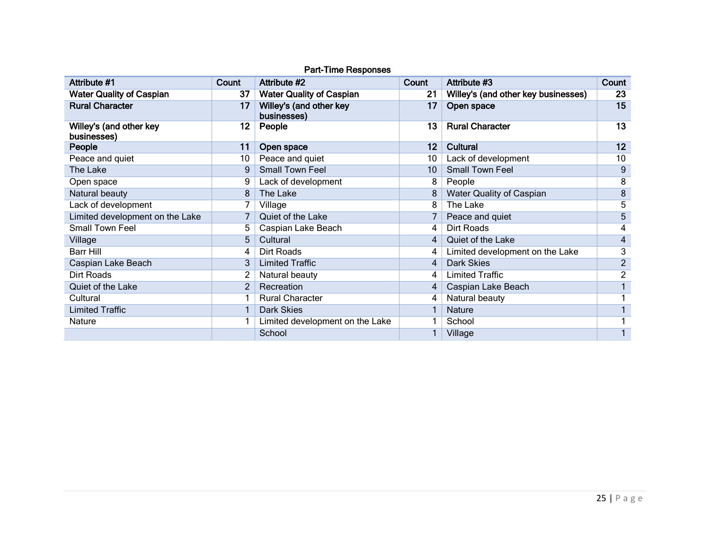| Attribute #1                           | Count | Attribute #2                           | Count | Attribute #3                        | Count          |
|----------------------------------------|-------|----------------------------------------|-------|-------------------------------------|----------------|
| <b>Water Quality of Caspian</b>        | 37    | <b>Water Quality of Caspian</b>        | 21    | Willey's (and other key businesses) | 23             |
| <b>Rural Character</b>                 | 17    | Willey's (and other key<br>businesses) | 17    | Open space                          | 15             |
| Willey's (and other key<br>businesses) | 12    | People                                 | 13    | <b>Rural Character</b>              | 13             |
| People                                 | 11    | Open space                             | 12    | <b>Cultural</b>                     | 12             |
| Peace and quiet                        | 10    | Peace and quiet                        | 10    | Lack of development                 | 10             |
| The Lake                               | 9     | Small Town Feel                        | 10    | <b>Small Town Feel</b>              | 9              |
| Open space                             | 9     | Lack of development                    | 8     | People                              | 8              |
| Natural beauty                         | 8     | The Lake                               |       | <b>Water Quality of Caspian</b>     | 8              |
| Lack of development                    |       | Village                                |       | The Lake                            | 5              |
| Limited development on the Lake        |       | Quiet of the Lake                      |       | Peace and quiet                     | 5              |
| <b>Small Town Feel</b>                 | 5.    | Caspian Lake Beach                     | 4     | Dirt Roads                          | 4              |
| Village                                | 5     | Cultural                               | 4     | Quiet of the Lake                   | 4              |
| <b>Barr Hill</b>                       | 4     | Dirt Roads                             | 4     | Limited development on the Lake     | 3              |
| Caspian Lake Beach                     | 3     | <b>Limited Traffic</b>                 | 4     | Dark Skies                          | $\overline{2}$ |
| Dirt Roads                             |       | Natural beauty                         | 4     | <b>Limited Traffic</b>              | $\overline{2}$ |
| <b>Quiet of the Lake</b>               |       | Recreation                             | 4     | Caspian Lake Beach                  |                |
| Cultural                               |       | <b>Rural Character</b>                 | 4     | Natural beauty                      |                |
| <b>Limited Traffic</b>                 |       | Dark Skies                             |       | <b>Nature</b>                       |                |
| Nature                                 |       | Limited development on the Lake        |       | School                              |                |
|                                        |       | School                                 |       | Village                             |                |

#### Part-Time Responses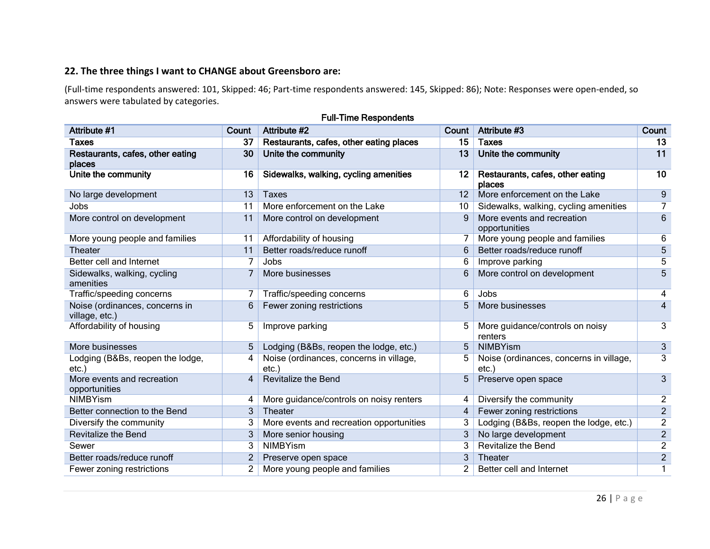#### **22. The three things I want to CHANGE about Greensboro are:**

(Full-time respondents answered: 101, Skipped: 46; Part-time respondents answered: 145, Skipped: 86); Note: Responses were open-ended, so answers were tabulated by categories.

| Attribute #1                                     | Count | Attribute #2                                        | Count             | Attribute #3                                        | Count          |
|--------------------------------------------------|-------|-----------------------------------------------------|-------------------|-----------------------------------------------------|----------------|
| Taxes                                            | 37    | Restaurants, cafes, other eating places             | 15                | <b>Taxes</b>                                        | 13             |
| Restaurants, cafes, other eating<br>places       | 30    | Unite the community                                 | 13                | Unite the community                                 | 11             |
| Unite the community                              | 16    | Sidewalks, walking, cycling amenities               | 12                | Restaurants, cafes, other eating<br>places          | 10             |
| No large development                             | 13    | <b>Taxes</b>                                        | $12 \overline{ }$ | More enforcement on the Lake                        | 9              |
| Jobs                                             | 11    | More enforcement on the Lake                        | 10                | Sidewalks, walking, cycling amenities               | $\overline{7}$ |
| More control on development                      | 11    | More control on development                         | 9                 | More events and recreation<br>opportunities         | 6              |
| More young people and families                   | 11    | Affordability of housing                            |                   | More young people and families                      | 6              |
| Theater                                          | 11    | Better roads/reduce runoff                          | 6                 | Better roads/reduce runoff                          | 5              |
| Better cell and Internet                         |       | Jobs                                                | 6                 | Improve parking                                     | 5              |
| Sidewalks, walking, cycling<br>amenities         |       | More businesses                                     | 6                 | More control on development                         | 5              |
| Traffic/speeding concerns                        | 7     | Traffic/speeding concerns                           | 6                 | Jobs                                                | 4              |
| Noise (ordinances, concerns in<br>village, etc.) | 6     | Fewer zoning restrictions                           |                   | More businesses                                     | 4              |
| Affordability of housing                         | 5     | Improve parking                                     | 5                 | More guidance/controls on noisy<br>renters          | 3              |
| More businesses                                  | 5     | Lodging (B&Bs, reopen the lodge, etc.)              | 5                 | <b>NIMBYism</b>                                     | 3              |
| Lodging (B&Bs, reopen the lodge,<br>$etc.$ )     |       | Noise (ordinances, concerns in village,<br>$etc.$ ) |                   | Noise (ordinances, concerns in village,<br>$etc.$ ) | 3              |
| More events and recreation<br>opportunities      |       | <b>Revitalize the Bend</b>                          | 5                 | Preserve open space                                 | 3              |
| <b>NIMBYism</b>                                  | 4     | More guidance/controls on noisy renters             | 4                 | Diversify the community                             | 2              |
| Better connection to the Bend                    | 3     | Theater                                             | 4                 | Fewer zoning restrictions                           | $\overline{c}$ |
| Diversify the community                          | 3     | More events and recreation opportunities            | 3                 | Lodging (B&Bs, reopen the lodge, etc.)              | 2              |
| <b>Revitalize the Bend</b>                       | 3     | More senior housing                                 | 3                 | No large development                                | $\overline{2}$ |
| Sewer                                            | 3     | <b>NIMBYism</b>                                     |                   | <b>Revitalize the Bend</b>                          | 2              |
| Better roads/reduce runoff                       | 2     | Preserve open space                                 |                   | <b>Theater</b>                                      | $\overline{2}$ |
| Fewer zoning restrictions                        | 2     | More young people and families                      |                   | Better cell and Internet                            | 1              |

#### Full-Time Respondents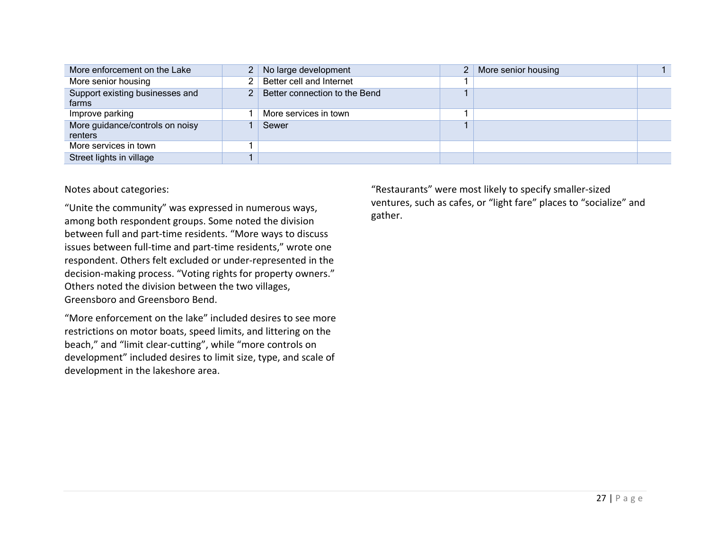| More enforcement on the Lake               | 2 <sup>1</sup> | No large development          |  | More senior housing |  |
|--------------------------------------------|----------------|-------------------------------|--|---------------------|--|
| More senior housing                        |                | Better cell and Internet      |  |                     |  |
| Support existing businesses and<br>farms   |                | Better connection to the Bend |  |                     |  |
| Improve parking                            |                | More services in town         |  |                     |  |
| More guidance/controls on noisy<br>renters |                | Sewer                         |  |                     |  |
| More services in town                      |                |                               |  |                     |  |
| Street lights in village                   |                |                               |  |                     |  |

Notes about categories:

"Unite the community" was expressed in numerous ways, among both respondent groups. Some noted the division between full and part-time residents. "More ways to discuss issues between full-time and part-time residents," wrote one respondent. Others felt excluded or under-represented in the decision-making process. "Voting rights for property owners." Others noted the division between the two villages, Greensboro and Greensboro Bend.

"More enforcement on the lake" included desires to see more restrictions on motor boats, speed limits, and littering on the beach," and "limit clear-cutting", while "more controls on development" included desires to limit size, type, and scale of development in the lakeshore area.

"Restaurants" were most likely to specify smaller-sized ventures, such as cafes, or "light fare" places to "socialize" and gather.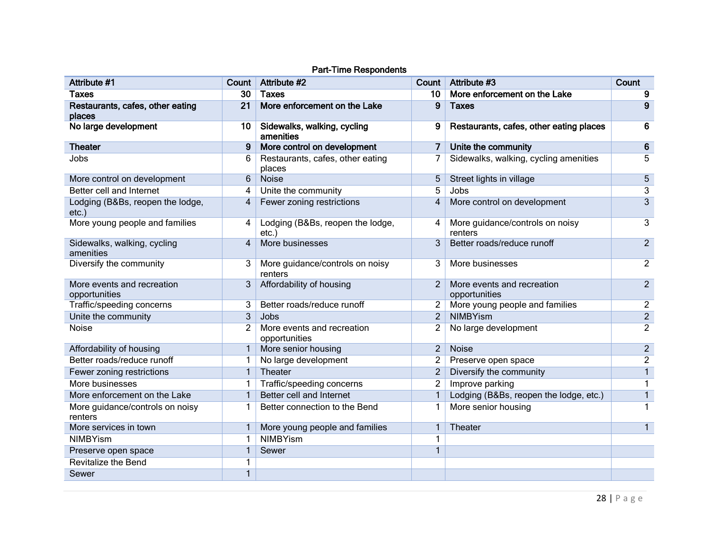| Attribute #1                                 | Count          | Attribute #2                                 | Count          | Attribute #3                                | Count          |
|----------------------------------------------|----------------|----------------------------------------------|----------------|---------------------------------------------|----------------|
| Taxes                                        | 30             | <b>Taxes</b>                                 | 10             | More enforcement on the Lake                | 9              |
| Restaurants, cafes, other eating<br>places   | 21             | More enforcement on the Lake                 | 9              | <b>Taxes</b>                                | 9              |
| No large development                         | 10             | Sidewalks, walking, cycling<br>amenities     | 9              | Restaurants, cafes, other eating places     | 6              |
| <b>Theater</b>                               | 9              | More control on development                  | 7              | Unite the community                         | 6              |
| Jobs                                         | 6              | Restaurants, cafes, other eating<br>places   | 7              | Sidewalks, walking, cycling amenities       | 5              |
| More control on development                  | 6              | <b>Noise</b>                                 | 5              | Street lights in village                    | $\overline{5}$ |
| Better cell and Internet                     | 4              | Unite the community                          | 5              | Jobs                                        | 3              |
| Lodging (B&Bs, reopen the lodge,<br>$etc.$ ) | $\overline{4}$ | Fewer zoning restrictions                    | $\overline{4}$ | More control on development                 | $\overline{3}$ |
| More young people and families               | 4              | Lodging (B&Bs, reopen the lodge,<br>$etc.$ ) | 4              | More guidance/controls on noisy<br>renters  | 3              |
| Sidewalks, walking, cycling<br>amenities     | $\overline{4}$ | More businesses                              | 3              | Better roads/reduce runoff                  | $\overline{2}$ |
| Diversify the community                      | 3              | More guidance/controls on noisy<br>renters   | 3              | More businesses                             | $\overline{2}$ |
| More events and recreation<br>opportunities  | 3              | Affordability of housing                     | $\overline{2}$ | More events and recreation<br>opportunities | $\overline{2}$ |
| Traffic/speeding concerns                    | 3              | Better roads/reduce runoff                   |                | More young people and families              | $\overline{2}$ |
| Unite the community                          | 3              | Jobs                                         | $\overline{2}$ | <b>NIMBYism</b>                             | $\overline{c}$ |
| Noise                                        | 2              | More events and recreation<br>opportunities  | 2              | No large development                        | $\overline{2}$ |
| Affordability of housing                     | $\mathbf{1}$   | More senior housing                          | $\overline{2}$ | Noise                                       | $\overline{2}$ |
| Better roads/reduce runoff                   | 1              | No large development                         | 2              | Preserve open space                         | $\overline{c}$ |
| Fewer zoning restrictions                    | $\mathbf{1}$   | Theater                                      | $\overline{2}$ | Diversify the community                     | $\mathbf{1}$   |
| More businesses                              | 1              | Traffic/speeding concerns                    | $\overline{2}$ | Improve parking                             | 1              |
| More enforcement on the Lake                 |                | Better cell and Internet                     | 1              | Lodging (B&Bs, reopen the lodge, etc.)      | $\mathbf{1}$   |
| More guidance/controls on noisy<br>renters   |                | Better connection to the Bend                | 1              | More senior housing                         | 1              |
| More services in town                        |                | More young people and families               | 1              | Theater                                     | $\mathbf{1}$   |
| <b>NIMBYism</b>                              |                | <b>NIMBYism</b>                              | 1              |                                             |                |
| Preserve open space                          |                | Sewer                                        | 1              |                                             |                |
| <b>Revitalize the Bend</b>                   |                |                                              |                |                                             |                |
| Sewer                                        | $\mathbf{1}$   |                                              |                |                                             |                |

#### Part-Time Respondents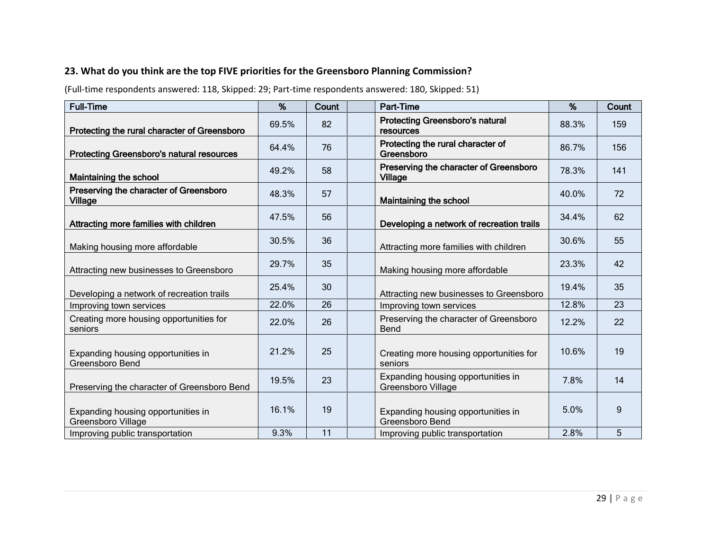## **23. What do you think are the top FIVE priorities for the Greensboro Planning Commission?**

(Full-time respondents answered: 118, Skipped: 29; Part-time respondents answered: 180, Skipped: 51)

| <b>Full-Time</b>                                                | %     | <b>Count</b> | <b>Part-Time</b>                                         | %     | Count |
|-----------------------------------------------------------------|-------|--------------|----------------------------------------------------------|-------|-------|
| Protecting the rural character of Greensboro                    | 69.5% | 82           | <b>Protecting Greensboro's natural</b><br>resources      | 88.3% | 159   |
| <b>Protecting Greensboro's natural resources</b>                | 64.4% | 76           | Protecting the rural character of<br>Greensboro          | 86.7% | 156   |
| Maintaining the school                                          | 49.2% | 58           | Preserving the character of Greensboro<br><b>Village</b> | 78.3% | 141   |
| Preserving the character of Greensboro<br>Village               | 48.3% | 57           | Maintaining the school                                   | 40.0% | 72    |
| Attracting more families with children                          | 47.5% | 56           | Developing a network of recreation trails                | 34.4% | 62    |
| Making housing more affordable                                  | 30.5% | 36           | Attracting more families with children                   | 30.6% | 55    |
| Attracting new businesses to Greensboro                         | 29.7% | 35           | Making housing more affordable                           | 23.3% | 42    |
| Developing a network of recreation trails                       | 25.4% | 30           | Attracting new businesses to Greensboro                  | 19.4% | 35    |
| Improving town services                                         | 22.0% | 26           | Improving town services                                  | 12.8% | 23    |
| Creating more housing opportunities for<br>seniors              | 22.0% | 26           | Preserving the character of Greensboro<br>Bend           | 12.2% | 22    |
| Expanding housing opportunities in<br>Greensboro Bend           | 21.2% | 25           | Creating more housing opportunities for<br>seniors       | 10.6% | 19    |
| Preserving the character of Greensboro Bend                     | 19.5% | 23           | Expanding housing opportunities in<br>Greensboro Village | 7.8%  | 14    |
| Expanding housing opportunities in<br><b>Greensboro Village</b> | 16.1% | 19           | Expanding housing opportunities in<br>Greensboro Bend    | 5.0%  | 9     |
| Improving public transportation                                 | 9.3%  | 11           | Improving public transportation                          | 2.8%  | 5     |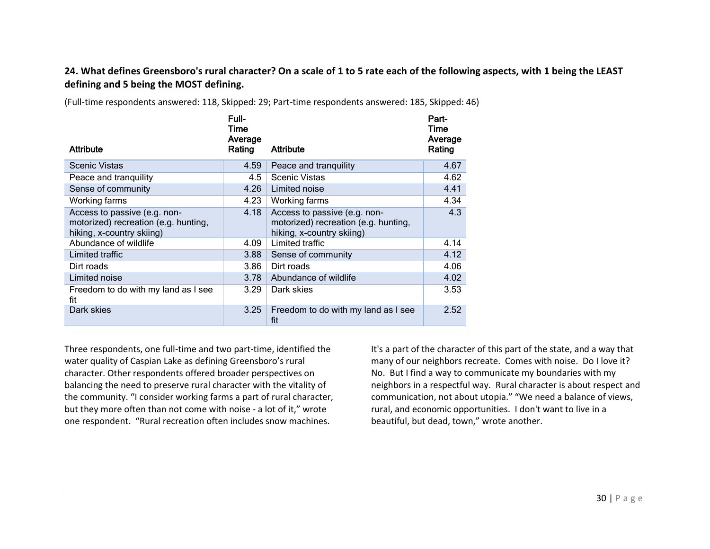#### **24. What defines Greensboro's rural character? On a scale of 1 to 5 rate each of the following aspects, with 1 being the LEAST defining and 5 being the MOST defining.**

|                                                                                                   | Full-<br>Time<br>Average |                                                                                                   | Part-<br>Time<br>Average |
|---------------------------------------------------------------------------------------------------|--------------------------|---------------------------------------------------------------------------------------------------|--------------------------|
| <b>Attribute</b>                                                                                  | Rating                   | Attribute                                                                                         | Rating                   |
| <b>Scenic Vistas</b>                                                                              | 4.59                     | Peace and tranquility                                                                             | 4.67                     |
| Peace and tranguility                                                                             | 4.5                      | <b>Scenic Vistas</b>                                                                              | 4.62                     |
| Sense of community                                                                                | 4.26                     | Limited noise                                                                                     | 4.41                     |
| Working farms                                                                                     | 4.23                     | Working farms                                                                                     | 4.34                     |
| Access to passive (e.g. non-<br>motorized) recreation (e.g. hunting,<br>hiking, x-country skiing) | 4.18                     | Access to passive (e.g. non-<br>motorized) recreation (e.g. hunting,<br>hiking, x-country skiing) | 4.3                      |
| Abundance of wildlife                                                                             | 4.09                     | Limited traffic                                                                                   | 4.14                     |
| Limited traffic                                                                                   | 3.88                     | Sense of community                                                                                | 4.12                     |
| Dirt roads                                                                                        | 3.86                     | Dirt roads                                                                                        | 4.06                     |
| Limited noise                                                                                     | 3.78                     | Abundance of wildlife                                                                             | 4.02                     |
| Freedom to do with my land as I see<br>fit                                                        | 3.29                     | Dark skies                                                                                        | 3.53                     |
| Dark skies                                                                                        | 3.25                     | Freedom to do with my land as I see<br>fit                                                        | 2.52                     |

(Full-time respondents answered: 118, Skipped: 29; Part-time respondents answered: 185, Skipped: 46)

Three respondents, one full-time and two part-time, identified the water quality of Caspian Lake as defining Greensboro's rural character. Other respondents offered broader perspectives on balancing the need to preserve rural character with the vitality of the community. "I consider working farms a part of rural character, but they more often than not come with noise - a lot of it," wrote one respondent. "Rural recreation often includes snow machines.

It's a part of the character of this part of the state, and a way that many of our neighbors recreate. Comes with noise. Do I love it? No. But I find a way to communicate my boundaries with my neighbors in a respectful way. Rural character is about respect and communication, not about utopia." "We need a balance of views, rural, and economic opportunities. I don't want to live in a beautiful, but dead, town," wrote another.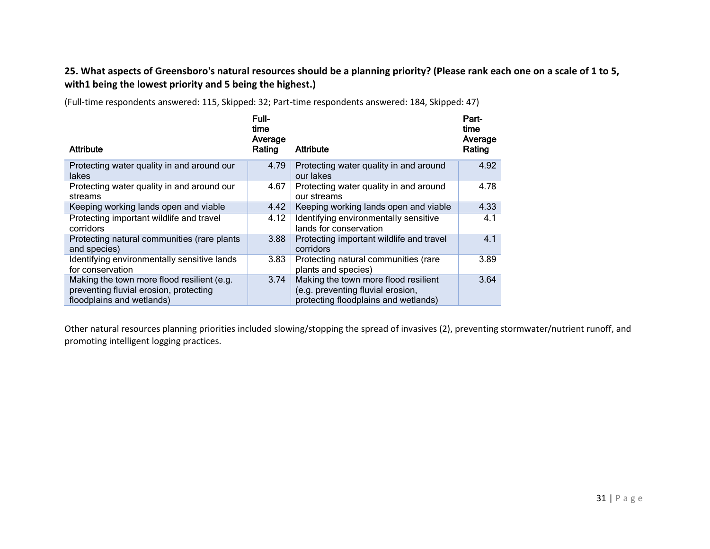## **25. What aspects of Greensboro's natural resources should be a planning priority? (Please rank each one on a scale of 1 to 5, with1 being the lowest priority and 5 being the highest.)**

| Attribute                                                                                                         | Full-<br>time<br>Average<br>Rating | Attribute                                                                                                         | Part-<br>time<br>Average<br>Rating |
|-------------------------------------------------------------------------------------------------------------------|------------------------------------|-------------------------------------------------------------------------------------------------------------------|------------------------------------|
| Protecting water quality in and around our<br>lakes                                                               | 4.79                               | Protecting water quality in and around<br>our lakes                                                               | 4.92                               |
| Protecting water quality in and around our<br>streams                                                             | 4.67                               | Protecting water quality in and around<br>our streams                                                             | 4.78                               |
| Keeping working lands open and viable                                                                             | 4.42                               | Keeping working lands open and viable                                                                             | 4.33                               |
| Protecting important wildlife and travel<br>corridors                                                             | 4.12                               | Identifying environmentally sensitive<br>lands for conservation                                                   | 4.1                                |
| Protecting natural communities (rare plants<br>and species)                                                       | 3.88                               | Protecting important wildlife and travel<br>corridors                                                             | 4.1                                |
| Identifying environmentally sensitive lands<br>for conservation                                                   | 3.83                               | Protecting natural communities (rare<br>plants and species)                                                       | 3.89                               |
| Making the town more flood resilient (e.g.<br>preventing fluvial erosion, protecting<br>floodplains and wetlands) | 3.74                               | Making the town more flood resilient<br>(e.g. preventing fluvial erosion,<br>protecting floodplains and wetlands) | 3.64                               |

(Full-time respondents answered: 115, Skipped: 32; Part-time respondents answered: 184, Skipped: 47)

Other natural resources planning priorities included slowing/stopping the spread of invasives (2), preventing stormwater/nutrient runoff, and promoting intelligent logging practices.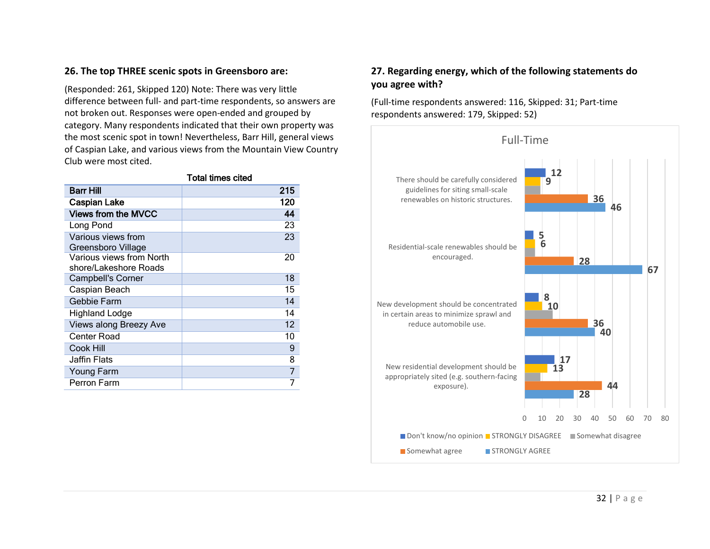#### **26. The top THREE scenic spots in Greensboro are:**

(Responded: 261, Skipped 120) Note: There was very little difference between full- and part-time respondents, so answers are not broken out. Responses were open-ended and grouped by category. Many respondents indicated that their own property was the most scenic spot in town! Nevertheless, Barr Hill, general views of Caspian Lake, and various views from the Mountain View Country Club were most cited.

|                                                   | <b>Total times cited</b> |
|---------------------------------------------------|--------------------------|
| Barr Hill                                         | 215                      |
| <b>Caspian Lake</b>                               | 120                      |
| <b>Views from the MVCC</b>                        | 44                       |
| Long Pond                                         | 23                       |
| Various views from<br>Greensboro Village          | 23                       |
| Various views from North<br>shore/Lakeshore Roads | 20                       |
| <b>Campbell's Corner</b>                          | 18                       |
| Caspian Beach                                     | 15                       |
| Gebbie Farm                                       | 14                       |
| Highland Lodge                                    | 14                       |
| Views along Breezy Ave                            | 12                       |
| <b>Center Road</b>                                | 10                       |
| Cook Hill                                         | 9                        |
| Jaffin Flats                                      | 8                        |
| Young Farm                                        |                          |
| Perron Farm                                       |                          |

#### **27. Regarding energy, which of the following statements do you agree with?**

(Full-time respondents answered: 116, Skipped: 31; Part-time respondents answered: 179, Skipped: 52)

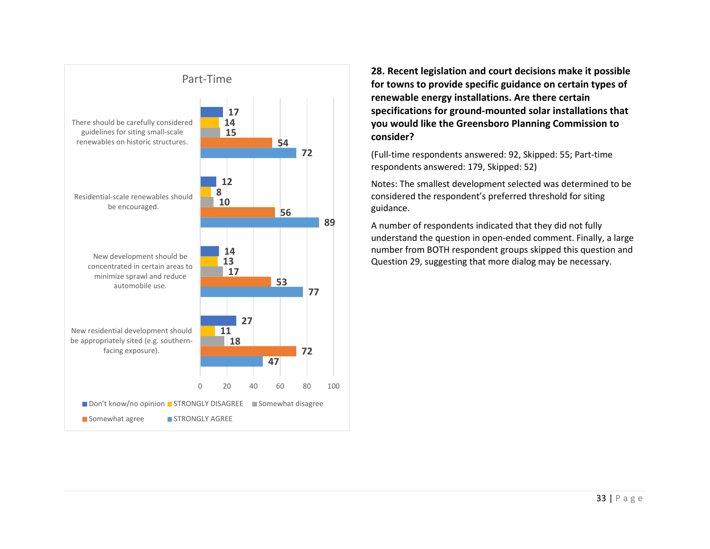

**28. Recent legislation and court decisions make it possible for towns to provide specific guidance on certain types of renewable energy installations. Are there certain specifications for ground-mounted solar installations that you would like the Greensboro Planning Commission to consider?**

(Full-time respondents answered: 92, Skipped: 55; Part-time respondents answered: 179, Skipped: 52)

Notes: The smallest development selected was determined to be considered the respondent's preferred threshold for siting guidance.

A number of respondents indicated that they did not fully understand the question in open-ended comment. Finally, a large number from BOTH respondent groups skipped this question and Question 29, suggesting that more dialog may be necessary.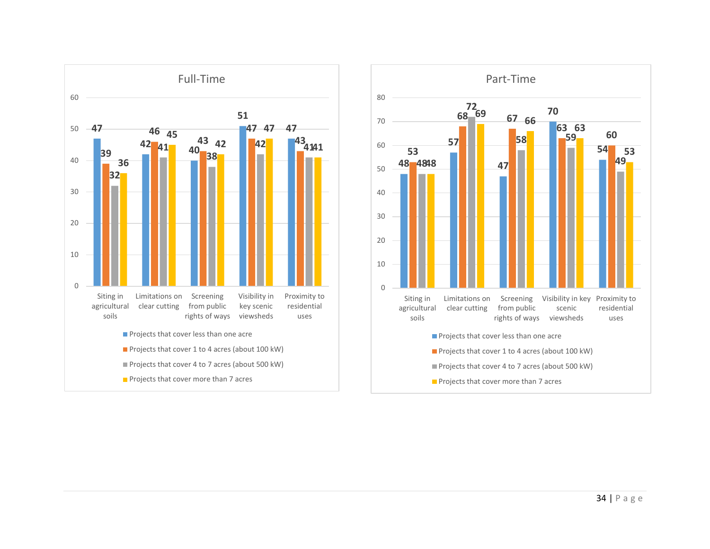